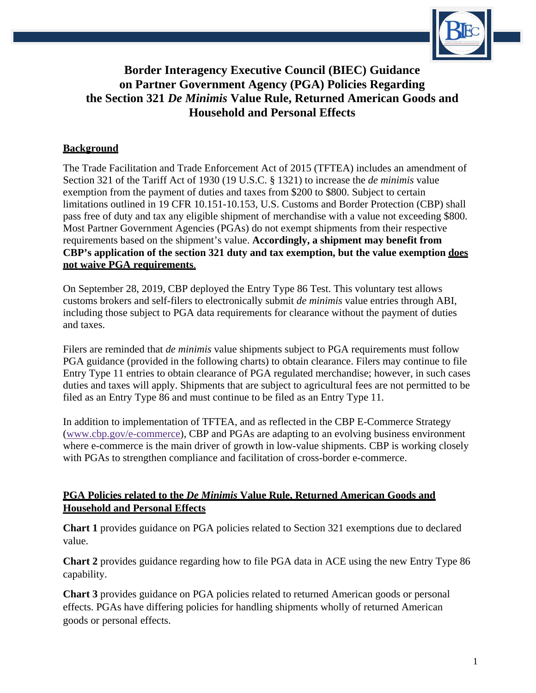

# **Border Interagency Executive Council (BIEC) Guidance on Partner Government Agency (PGA) Policies Regarding the Section 321** *De Minimis* **Value Rule, Returned American Goods and Household and Personal Effects**

# **Background**

The Trade Facilitation and Trade Enforcement Act of 2015 (TFTEA) includes an amendment of Section 321 of the Tariff Act of 1930 (19 U.S.C. § 1321) to increase the *de minimis* value exemption from the payment of duties and taxes from \$200 to \$800. Subject to certain limitations outlined in 19 CFR 10.151-10.153, U.S. Customs and Border Protection (CBP) shall pass free of duty and tax any eligible shipment of merchandise with a value not exceeding \$800. Most Partner Government Agencies (PGAs) do not exempt shipments from their respective requirements based on the shipment's value. **Accordingly, a shipment may benefit from CBP's application of the section 321 duty and tax exemption, but the value exemption does not waive PGA requirements**.

On September 28, 2019, CBP deployed the Entry Type 86 Test. This voluntary test allows customs brokers and self-filers to electronically submit *de minimis* value entries through ABI, including those subject to PGA data requirements for clearance without the payment of duties and taxes.

Filers are reminded that *de minimis* value shipments subject to PGA requirements must follow PGA guidance (provided in the following charts) to obtain clearance. Filers may continue to file Entry Type 11 entries to obtain clearance of PGA regulated merchandise; however, in such cases duties and taxes will apply. Shipments that are subject to agricultural fees are not permitted to be filed as an Entry Type 86 and must continue to be filed as an Entry Type 11.

In addition to implementation of TFTEA, and as reflected in the CBP E-Commerce Strategy [\(www.cbp.gov/e-commerce\)](http://www.cbp.gov/e-commerce), CBP and PGAs are adapting to an evolving business environment where e-commerce is the main driver of growth in low-value shipments. CBP is working closely with PGAs to strengthen compliance and facilitation of cross-border e-commerce.

## **PGA Policies related to the** *De Minimis* **Value Rule, Returned American Goods and Household and Personal Effects**

**Chart 1** provides guidance on PGA policies related to Section 321 exemptions due to declared value.

**Chart 2** provides guidance regarding how to file PGA data in ACE using the new Entry Type 86 capability.

**Chart 3** provides guidance on PGA policies related to returned American goods or personal effects. PGAs have differing policies for handling shipments wholly of returned American goods or personal effects.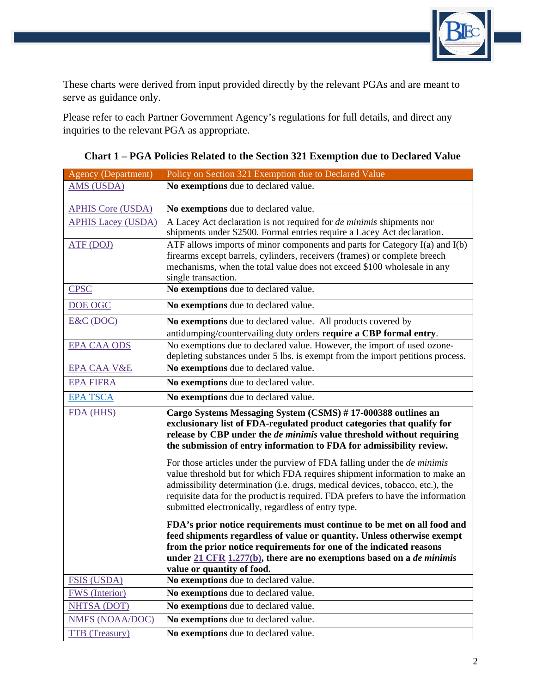

These charts were derived from input provided directly by the relevant PGAs and are meant to serve as guidance only.

Please refer to each Partner Government Agency's regulations for full details, and direct any inquiries to the relevant PGA as appropriate.

| <b>Agency (Department)</b> | Policy on Section 321 Exemption due to Declared Value                                                                                                                                                                                                                                                                                                                                    |
|----------------------------|------------------------------------------------------------------------------------------------------------------------------------------------------------------------------------------------------------------------------------------------------------------------------------------------------------------------------------------------------------------------------------------|
| <b>AMS (USDA)</b>          | No exemptions due to declared value.                                                                                                                                                                                                                                                                                                                                                     |
| <b>APHIS Core (USDA)</b>   | No exemptions due to declared value.                                                                                                                                                                                                                                                                                                                                                     |
| <b>APHIS Lacey (USDA)</b>  | A Lacey Act declaration is not required for <i>de minimis</i> shipments nor                                                                                                                                                                                                                                                                                                              |
|                            | shipments under \$2500. Formal entries require a Lacey Act declaration.                                                                                                                                                                                                                                                                                                                  |
| ATF (DOJ)                  | ATF allows imports of minor components and parts for Category $I(a)$ and $I(b)$                                                                                                                                                                                                                                                                                                          |
|                            | firearms except barrels, cylinders, receivers (frames) or complete breech<br>mechanisms, when the total value does not exceed \$100 wholesale in any                                                                                                                                                                                                                                     |
|                            | single transaction.                                                                                                                                                                                                                                                                                                                                                                      |
| <b>CPSC</b>                | No exemptions due to declared value.                                                                                                                                                                                                                                                                                                                                                     |
| DOE OGC                    | No exemptions due to declared value.                                                                                                                                                                                                                                                                                                                                                     |
| E&C(DOC)                   | No exemptions due to declared value. All products covered by                                                                                                                                                                                                                                                                                                                             |
|                            | antidumping/countervailing duty orders require a CBP formal entry.                                                                                                                                                                                                                                                                                                                       |
| <b>EPA CAA ODS</b>         | No exemptions due to declared value. However, the import of used ozone-                                                                                                                                                                                                                                                                                                                  |
| <b>EPA CAA V&amp;E</b>     | depleting substances under 5 lbs. is exempt from the import petitions process.<br>No exemptions due to declared value.                                                                                                                                                                                                                                                                   |
|                            |                                                                                                                                                                                                                                                                                                                                                                                          |
| <b>EPA FIFRA</b>           | No exemptions due to declared value.                                                                                                                                                                                                                                                                                                                                                     |
| <b>EPA TSCA</b>            | No exemptions due to declared value.                                                                                                                                                                                                                                                                                                                                                     |
| FDA (HHS)                  | Cargo Systems Messaging System (CSMS) #17-000388 outlines an<br>exclusionary list of FDA-regulated product categories that qualify for<br>release by CBP under the <i>de minimis</i> value threshold without requiring<br>the submission of entry information to FDA for admissibility review.                                                                                           |
|                            | For those articles under the purview of FDA falling under the <i>de minimis</i><br>value threshold but for which FDA requires shipment information to make an<br>admissibility determination (i.e. drugs, medical devices, tobacco, etc.), the<br>requisite data for the product is required. FDA prefers to have the information<br>submitted electronically, regardless of entry type. |
|                            | FDA's prior notice requirements must continue to be met on all food and<br>feed shipments regardless of value or quantity. Unless otherwise exempt<br>from the prior notice requirements for one of the indicated reasons<br>under $21$ CFR 1.277(b), there are no exemptions based on a <i>de minimis</i><br>value or quantity of food.                                                 |
| <b>FSIS (USDA)</b>         | No exemptions due to declared value.                                                                                                                                                                                                                                                                                                                                                     |
| FWS (Interior)             | No exemptions due to declared value.                                                                                                                                                                                                                                                                                                                                                     |
| <b>NHTSA (DOT)</b>         | No exemptions due to declared value.                                                                                                                                                                                                                                                                                                                                                     |
| <b>NMFS (NOAA/DOC)</b>     | No exemptions due to declared value.                                                                                                                                                                                                                                                                                                                                                     |
| <b>TTB</b> (Treasury)      | No exemptions due to declared value.                                                                                                                                                                                                                                                                                                                                                     |

**Chart 1 – PGA Policies Related to the Section 321 Exemption due to Declared Value**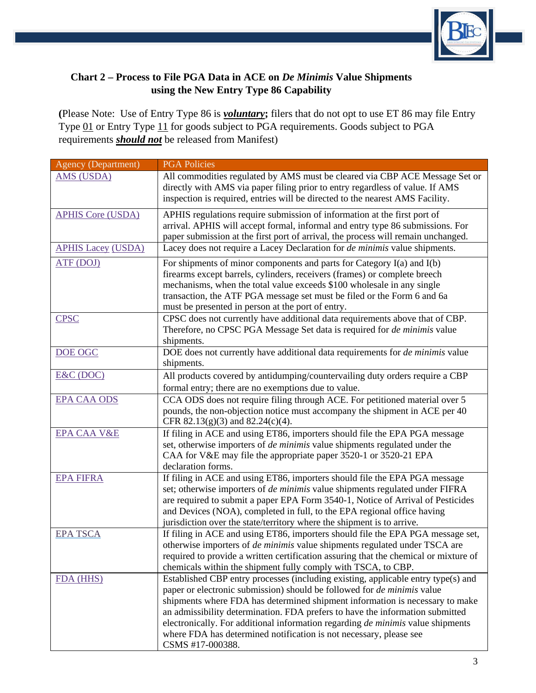

# **Chart 2 – Process to File PGA Data in ACE on** *De Minimis* **Value Shipments using the New Entry Type 86 Capability**

**(**Please Note: Use of Entry Type 86 is *voluntary***;** filers that do not opt to use ET 86 may file Entry Type 01 or Entry Type 11 for goods subject to PGA requirements. Goods subject to PGA requirements *should not* be released from Manifest)

| <b>Agency (Department)</b> | <b>PGA Policies</b>                                                                                                                                                  |
|----------------------------|----------------------------------------------------------------------------------------------------------------------------------------------------------------------|
| <b>AMS (USDA)</b>          | All commodities regulated by AMS must be cleared via CBP ACE Message Set or                                                                                          |
|                            | directly with AMS via paper filing prior to entry regardless of value. If AMS                                                                                        |
|                            | inspection is required, entries will be directed to the nearest AMS Facility.                                                                                        |
| <b>APHIS Core (USDA)</b>   | APHIS regulations require submission of information at the first port of                                                                                             |
|                            | arrival. APHIS will accept formal, informal and entry type 86 submissions. For                                                                                       |
|                            | paper submission at the first port of arrival, the process will remain unchanged.                                                                                    |
| <b>APHIS Lacey (USDA)</b>  | Lacey does not require a Lacey Declaration for <i>de minimis</i> value shipments.                                                                                    |
| ATF (DOJ)                  | For shipments of minor components and parts for Category $I(a)$ and $I(b)$                                                                                           |
|                            | firearms except barrels, cylinders, receivers (frames) or complete breech                                                                                            |
|                            | mechanisms, when the total value exceeds \$100 wholesale in any single                                                                                               |
|                            | transaction, the ATF PGA message set must be filed or the Form 6 and 6a                                                                                              |
|                            | must be presented in person at the port of entry.                                                                                                                    |
| <b>CPSC</b>                | CPSC does not currently have additional data requirements above that of CBP.                                                                                         |
|                            | Therefore, no CPSC PGA Message Set data is required for <i>de minimis</i> value                                                                                      |
|                            | shipments.                                                                                                                                                           |
| DOE OGC                    | DOE does not currently have additional data requirements for <i>de minimis</i> value                                                                                 |
|                            | shipments.                                                                                                                                                           |
| E&C (DOC)                  | All products covered by antidumping/countervailing duty orders require a CBP                                                                                         |
|                            | formal entry; there are no exemptions due to value.                                                                                                                  |
| <b>EPA CAA ODS</b>         | CCA ODS does not require filing through ACE. For petitioned material over 5                                                                                          |
|                            | pounds, the non-objection notice must accompany the shipment in ACE per 40                                                                                           |
|                            | CFR 82.13(g)(3) and 82.24(c)(4).                                                                                                                                     |
| <b>EPA CAA V&amp;E</b>     | If filing in ACE and using ET86, importers should file the EPA PGA message                                                                                           |
|                            | set, otherwise importers of <i>de minimis</i> value shipments regulated under the                                                                                    |
|                            | CAA for V&E may file the appropriate paper 3520-1 or 3520-21 EPA                                                                                                     |
|                            | declaration forms.                                                                                                                                                   |
| <b>EPA FIFRA</b>           | If filing in ACE and using ET86, importers should file the EPA PGA message                                                                                           |
|                            | set; otherwise importers of <i>de minimis</i> value shipments regulated under FIFRA                                                                                  |
|                            | are required to submit a paper EPA Form 3540-1, Notice of Arrival of Pesticides                                                                                      |
|                            | and Devices (NOA), completed in full, to the EPA regional office having                                                                                              |
| <b>EPA TSCA</b>            | jurisdiction over the state/territory where the shipment is to arrive.                                                                                               |
|                            | If filing in ACE and using ET86, importers should file the EPA PGA message set,<br>otherwise importers of <i>de minimis</i> value shipments regulated under TSCA are |
|                            | required to provide a written certification assuring that the chemical or mixture of                                                                                 |
|                            | chemicals within the shipment fully comply with TSCA, to CBP.                                                                                                        |
| <b>FDA</b> (HHS)           | Established CBP entry processes (including existing, applicable entry type(s) and                                                                                    |
|                            | paper or electronic submission) should be followed for <i>de minimis</i> value                                                                                       |
|                            | shipments where FDA has determined shipment information is necessary to make                                                                                         |
|                            | an admissibility determination. FDA prefers to have the information submitted                                                                                        |
|                            | electronically. For additional information regarding de minimis value shipments                                                                                      |
|                            | where FDA has determined notification is not necessary, please see                                                                                                   |
|                            | CSMS #17-000388.                                                                                                                                                     |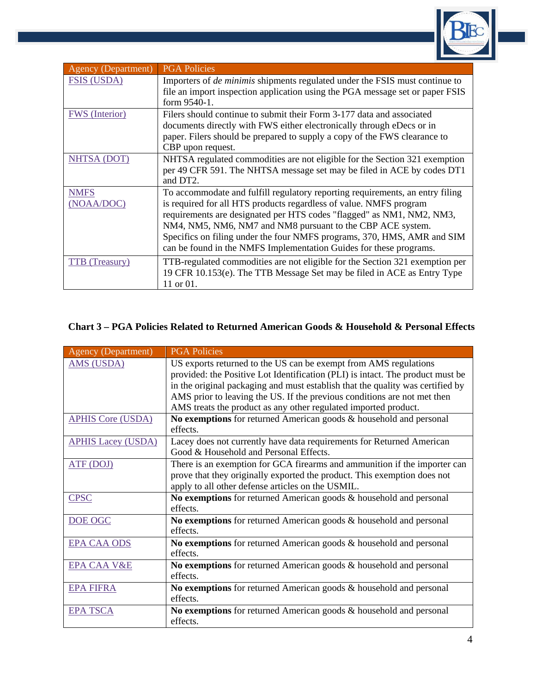

| <b>Agency (Department)</b> | <b>PGA Policies</b>                                                                                                                                                                                                                                                                                                                                                                                                                         |
|----------------------------|---------------------------------------------------------------------------------------------------------------------------------------------------------------------------------------------------------------------------------------------------------------------------------------------------------------------------------------------------------------------------------------------------------------------------------------------|
| <b>FSIS (USDA)</b>         | Importers of <i>de minimis</i> shipments regulated under the FSIS must continue to<br>file an import inspection application using the PGA message set or paper FSIS<br>form 9540-1.                                                                                                                                                                                                                                                         |
| <b>FWS</b> (Interior)      | Filers should continue to submit their Form 3-177 data and associated<br>documents directly with FWS either electronically through eDecs or in<br>paper. Filers should be prepared to supply a copy of the FWS clearance to<br>CBP upon request.                                                                                                                                                                                            |
| NHTSA (DOT)                | NHTSA regulated commodities are not eligible for the Section 321 exemption<br>per 49 CFR 591. The NHTSA message set may be filed in ACE by codes DT1<br>and DT <sub>2</sub> .                                                                                                                                                                                                                                                               |
| <b>NMFS</b><br>(NOAA/DOC)  | To accommodate and fulfill regulatory reporting requirements, an entry filing<br>is required for all HTS products regardless of value. NMFS program<br>requirements are designated per HTS codes "flagged" as NM1, NM2, NM3,<br>NM4, NM5, NM6, NM7 and NM8 pursuant to the CBP ACE system.<br>Specifics on filing under the four NMFS programs, 370, HMS, AMR and SIM<br>can be found in the NMFS Implementation Guides for these programs. |
| <b>TTB</b> (Treasury)      | TTB-regulated commodities are not eligible for the Section 321 exemption per<br>19 CFR 10.153(e). The TTB Message Set may be filed in ACE as Entry Type<br>11 or 01.                                                                                                                                                                                                                                                                        |

#### **Chart 3 – PGA Policies Related to Returned American Goods & Household & Personal Effects**

| <b>Agency (Department)</b> | <b>PGA Policies</b>                                                            |
|----------------------------|--------------------------------------------------------------------------------|
| <b>AMS (USDA)</b>          | US exports returned to the US can be exempt from AMS regulations               |
|                            | provided: the Positive Lot Identification (PLI) is intact. The product must be |
|                            | in the original packaging and must establish that the quality was certified by |
|                            | AMS prior to leaving the US. If the previous conditions are not met then       |
|                            | AMS treats the product as any other regulated imported product.                |
| <b>APHIS Core (USDA)</b>   | No exemptions for returned American goods $\&$ household and personal          |
|                            | effects.                                                                       |
| <b>APHIS Lacey (USDA)</b>  | Lacey does not currently have data requirements for Returned American          |
|                            | Good & Household and Personal Effects.                                         |
| ATF (DOJ)                  | There is an exemption for GCA firearms and ammunition if the importer can      |
|                            | prove that they originally exported the product. This exemption does not       |
|                            | apply to all other defense articles on the USMIL.                              |
| <b>CPSC</b>                | No exemptions for returned American goods $\&$ household and personal          |
|                            | effects.                                                                       |
| DOE OGC                    | No exemptions for returned American goods & household and personal             |
|                            | effects.                                                                       |
| <b>EPA CAA ODS</b>         | No exemptions for returned American goods $\&$ household and personal          |
|                            | effects.                                                                       |
| EPA CAA V&E                | No exemptions for returned American goods $\&$ household and personal          |
|                            | effects.                                                                       |
| <b>EPA FIFRA</b>           | No exemptions for returned American goods & household and personal             |
|                            | effects.                                                                       |
| <b>EPA TSCA</b>            | No exemptions for returned American goods & household and personal             |
|                            | effects.                                                                       |